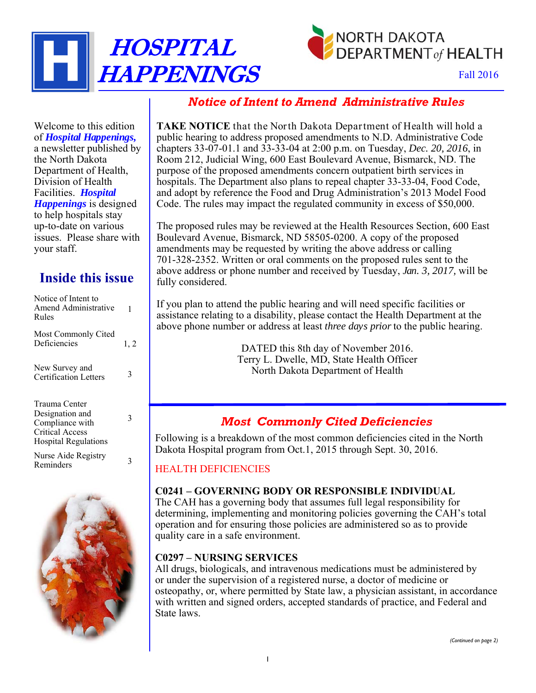



Fall 2016

## *Notice of Intent to Amend Administrative Rules*

Welcome to this edition of *Hospital Happenings,* a newsletter published by the North Dakota Department of Health, Division of Health Facilities. *Hospital Happenings* is designed to help hospitals stay up-to-date on various issues. Please share with your staff.

# **Inside this issue**

| Notice of Intent to<br>Amend Administrative<br>Rules                                                         | 1    |
|--------------------------------------------------------------------------------------------------------------|------|
| Most Commonly Cited<br>Deficiencies                                                                          | 1, 2 |
| New Survey and<br><b>Certification Letters</b>                                                               | 3    |
| Trauma Center<br>Designation and<br>Compliance with<br><b>Critical Access</b><br><b>Hospital Regulations</b> | 3    |
| Nurse Aide Registry<br>Reminders                                                                             |      |



**TAKE NOTICE** that the North Dakota Department of Health will hold a public hearing to address proposed amendments to N.D. Administrative Code chapters 33-07-01.1 and 33-33-04 at 2:00 p.m. on Tuesday, *Dec. 20, 2016*, in Room 212, Judicial Wing, 600 East Boulevard Avenue, Bismarck, ND. The purpose of the proposed amendments concern outpatient birth services in hospitals. The Department also plans to repeal chapter 33-33-04, Food Code, and adopt by reference the Food and Drug Administration's 2013 Model Food Code. The rules may impact the regulated community in excess of \$50,000.

The proposed rules may be reviewed at the Health Resources Section, 600 East Boulevard Avenue, Bismarck, ND 58505-0200. A copy of the proposed amendments may be requested by writing the above address or calling 701-328-2352. Written or oral comments on the proposed rules sent to the above address or phone number and received by Tuesday, *Jan. 3, 2017,* will be fully considered.

If you plan to attend the public hearing and will need specific facilities or assistance relating to a disability, please contact the Health Department at the above phone number or address at least *three days prior* to the public hearing.

> DATED this 8th day of November 2016. Terry L. Dwelle, MD, State Health Officer North Dakota Department of Health

## *Most Commonly Cited Deficiencies*

Following is a breakdown of the most common deficiencies cited in the North Dakota Hospital program from Oct.1, 2015 through Sept. 30, 2016.

## HEALTH DEFICIENCIES

### **C0241 – GOVERNING BODY OR RESPONSIBLE INDIVIDUAL**

The CAH has a governing body that assumes full legal responsibility for determining, implementing and monitoring policies governing the CAH's total operation and for ensuring those policies are administered so as to provide quality care in a safe environment.

### **C0297 – NURSING SERVICES**

All drugs, biologicals, and intravenous medications must be administered by or under the supervision of a registered nurse, a doctor of medicine or osteopathy, or, where permitted by State law, a physician assistant, in accordance with written and signed orders, accepted standards of practice, and Federal and State laws.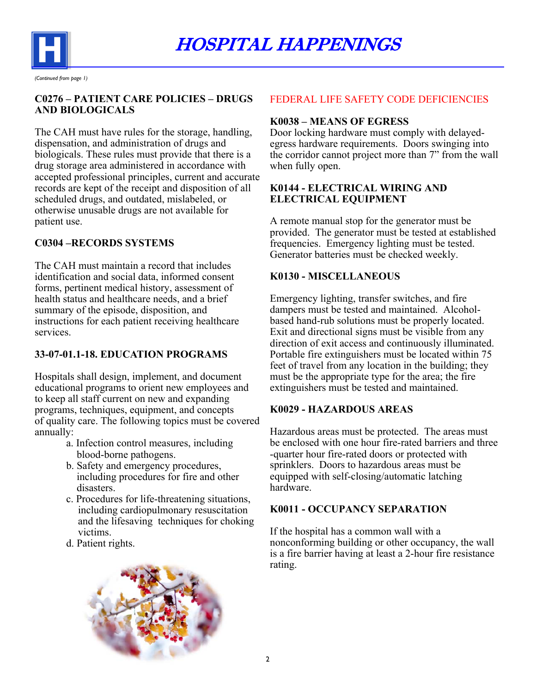

**C0276 – PATIENT CARE POLICIES – DRUGS AND BIOLOGICALS** 

The CAH must have rules for the storage, handling, dispensation, and administration of drugs and biologicals. These rules must provide that there is a drug storage area administered in accordance with accepted professional principles, current and accurate records are kept of the receipt and disposition of all scheduled drugs, and outdated, mislabeled, or otherwise unusable drugs are not available for patient use.

## **C0304 –RECORDS SYSTEMS**

The CAH must maintain a record that includes identification and social data, informed consent forms, pertinent medical history, assessment of health status and healthcare needs, and a brief summary of the episode, disposition, and instructions for each patient receiving healthcare services.

## **33-07-01.1-18. EDUCATION PROGRAMS**

Hospitals shall design, implement, and document educational programs to orient new employees and to keep all staff current on new and expanding programs, techniques, equipment, and concepts of quality care. The following topics must be covered annually:

- a. Infection control measures, including blood-borne pathogens.
- b. Safety and emergency procedures, including procedures for fire and other disasters.
- c. Procedures for life-threatening situations, including cardiopulmonary resuscitation and the lifesaving techniques for choking victims.
- d. Patient rights.



### FEDERAL LIFE SAFETY CODE DEFICIENCIES

#### **K0038 – MEANS OF EGRESS**

Door locking hardware must comply with delayedegress hardware requirements. Doors swinging into the corridor cannot project more than 7" from the wall when fully open.

#### **K0144 - ELECTRICAL WIRING AND ELECTRICAL EQUIPMENT**

A remote manual stop for the generator must be provided. The generator must be tested at established frequencies. Emergency lighting must be tested. Generator batteries must be checked weekly.

### **K0130 - MISCELLANEOUS**

Emergency lighting, transfer switches, and fire dampers must be tested and maintained. Alcoholbased hand-rub solutions must be properly located. Exit and directional signs must be visible from any direction of exit access and continuously illuminated. Portable fire extinguishers must be located within 75 feet of travel from any location in the building; they must be the appropriate type for the area; the fire extinguishers must be tested and maintained.

#### **K0029 - HAZARDOUS AREAS**

Hazardous areas must be protected. The areas must be enclosed with one hour fire-rated barriers and three -quarter hour fire-rated doors or protected with sprinklers. Doors to hazardous areas must be equipped with self-closing/automatic latching hardware.

### **K0011 - OCCUPANCY SEPARATION**

If the hospital has a common wall with a nonconforming building or other occupancy, the wall is a fire barrier having at least a 2-hour fire resistance rating.